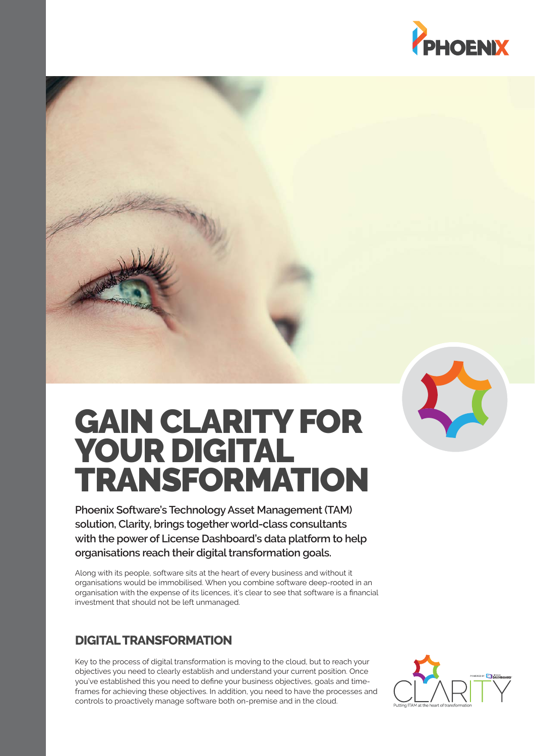



# GAIN CLARITY FOR YOUR DIGITAL TRANSFORMATION

**Phoenix Software's Technology Asset Management (TAM) solution, Clarity, brings together world-class consultants with the power of License Dashboard's data platform to help organisations reach their digital transformation goals.** 

Along with its people, software sits at the heart of every business and without it organisations would be immobilised. When you combine software deep-rooted in an organisation with the expense of its licences, it's clear to see that software is a financial investment that should not be left unmanaged.

# **DIGITAL TRANSFORMATION**

Key to the process of digital transformation is moving to the cloud, but to reach your objectives you need to clearly establish and understand your current position. Once you've established this you need to define your business objectives, goals and timeframes for achieving these objectives. In addition, you need to have the processes and controls to proactively manage software both on-premise and in the cloud.

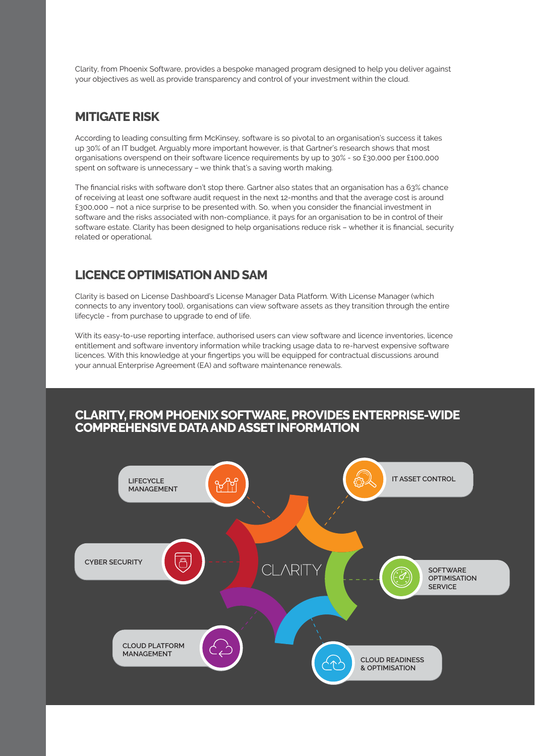Clarity, from Phoenix Software, provides a bespoke managed program designed to help you deliver against your objectives as well as provide transparency and control of your investment within the cloud.

#### **MITIGATE RISK**

According to leading consulting firm McKinsey, software is so pivotal to an organisation's success it takes up 30% of an IT budget. Arguably more important however, is that Gartner's research shows that most organisations overspend on their software licence requirements by up to 30% - so £30,000 per £100,000 spent on software is unnecessary – we think that's a saving worth making.

The financial risks with software don't stop there. Gartner also states that an organisation has a 63% chance of receiving at least one software audit request in the next 12-months and that the average cost is around £300,000 - not a nice surprise to be presented with. So, when you consider the financial investment in software and the risks associated with non-compliance, it pays for an organisation to be in control of their software estate. Clarity has been designed to help organisations reduce risk - whether it is financial, security related or operational.

### **LICENCE OPTIMISATION AND SAM**

Clarity is based on License Dashboard's License Manager Data Platform. With License Manager (which connects to any inventory tool), organisations can view software assets as they transition through the entire lifecycle - from purchase to upgrade to end of life.

With its easy-to-use reporting interface, authorised users can view software and licence inventories, licence entitlement and software inventory information while tracking usage data to re-harvest expensive software licences. With this knowledge at your fingertips you will be equipped for contractual discussions around your annual Enterprise Agreement (EA) and software maintenance renewals.

#### **CLARITY, FROM PHOENIX SOFTWARE, PROVIDES ENTERPRISE-WIDE COMPREHENSIVE DATA AND ASSET INFORMATION**